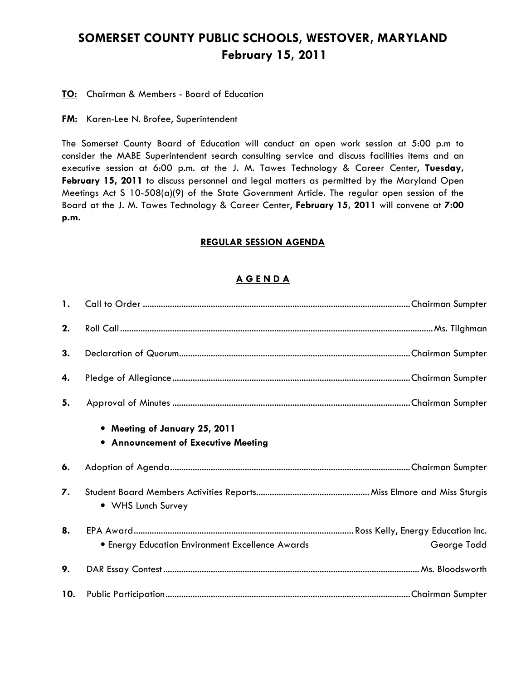# SOMERSET COUNTY PUBLIC SCHOOLS, WESTOVER, MARYLAND February 15, 2011

#### **TO:** Chairman & Members - Board of Education

#### **FM:** Karen-Lee N. Brofee, Superintendent

The Somerset County Board of Education will conduct an open work session at 5:00 p.m to consider the MABE Superintendent search consulting service and discuss facilities items and an executive session at 6:00 p.m. at the J. M. Tawes Technology & Career Center, Tuesday, February 15, 2011 to discuss personnel and legal matters as permitted by the Maryland Open Meetings Act S 10-508(a)(9) of the State Government Article. The regular open session of the Board at the J. M. Tawes Technology & Career Center, February 15, 2011 will convene at 7:00 p.m.

#### REGULAR SESSION AGENDA

### A G E N D A

| $\mathbf{1}$ . |                                                                      |             |
|----------------|----------------------------------------------------------------------|-------------|
| 2.             |                                                                      |             |
| 3.             |                                                                      |             |
| 4.             |                                                                      |             |
| 5.             |                                                                      |             |
|                | • Meeting of January 25, 2011<br>• Announcement of Executive Meeting |             |
| 6.             |                                                                      |             |
| 7.             | • WHS Lunch Survey                                                   |             |
| 8.             | <b>• Energy Education Environment Excellence Awards</b>              | George Todd |
| 9.             |                                                                      |             |
| 10.            |                                                                      |             |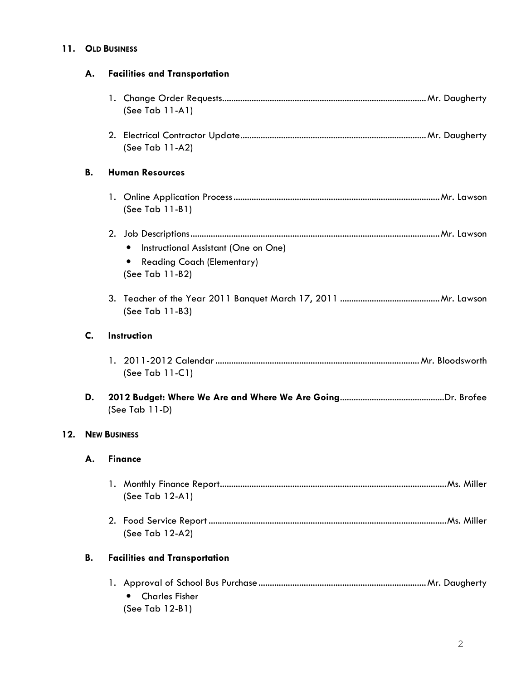# 11. OLD BUSINESS

|     | А. | <b>Facilities and Transportation</b>                                                                                   |  |
|-----|----|------------------------------------------------------------------------------------------------------------------------|--|
|     |    | (See Tab $11-A1$ )                                                                                                     |  |
|     |    | (See Tab 11-A2)                                                                                                        |  |
|     | В. | <b>Human Resources</b>                                                                                                 |  |
|     |    | (See Tab 11-B1)                                                                                                        |  |
|     |    | Instructional Assistant (One on One)<br>$\bullet$<br><b>Reading Coach (Elementary)</b><br>$\bullet$<br>(See Tab 11-B2) |  |
|     |    | (See Tab 11-B3)                                                                                                        |  |
|     | C. | Instruction                                                                                                            |  |
|     |    | (See Tab 11-C1)                                                                                                        |  |
|     | D. | (See Tab 11-D)                                                                                                         |  |
| 12. |    | <b>NEW BUSINESS</b>                                                                                                    |  |
|     | А. | <b>Finance</b>                                                                                                         |  |
|     |    | (See Tab 12-A1)                                                                                                        |  |
|     |    | (See Tab 12-A2)                                                                                                        |  |
|     | В. | <b>Facilities and Transportation</b>                                                                                   |  |
|     |    | <b>Charles Fisher</b><br>$\bullet$<br>(See Tab 12-B1)                                                                  |  |